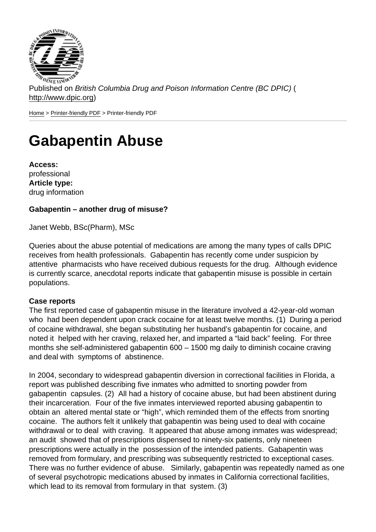Published on British Columbia Drug and Poison Information Centre (BC DPIC) ( http://www.dpic.org)

Home > Printer-friendly PDF > Printer-friendly PDF

# [Ga](http://www.dpic.org/)[bapentin](http://www.dpic.org/printpdf) Abuse

Access: professional Article type: drug information

Gabapentin – another drug of misuse?

Janet Webb, BSc(Pharm), MSc

Queries about the abuse potential of medications are among the many types of calls DPIC receives from health professionals. Gabapentin has recently come under suspicion by attentive pharmacists who have received dubious requests for the drug. Although evidence is currently scarce, anecdotal reports indicate that gabapentin misuse is possible in certain populations.

### Case reports

The first reported case of gabapentin misuse in the literature involved a 42-year-old woman who had been dependent upon crack cocaine for at least twelve months. (1) During a period of cocaine withdrawal, she began substituting her husband's gabapentin for cocaine, and noted it helped with her craving, relaxed her, and imparted a "laid back" feeling. For three months she self-administered gabapentin 600 – 1500 mg daily to diminish cocaine craving and deal with symptoms of abstinence.

In 2004, secondary to widespread gabapentin diversion in correctional facilities in Florida, a report was published describing five inmates who admitted to snorting powder from gabapentin capsules. (2) All had a history of cocaine abuse, but had been abstinent during their incarceration. Four of the five inmates interviewed reported abusing gabapentin to obtain an altered mental state or "high", which reminded them of the effects from snorting cocaine. The authors felt it unlikely that gabapentin was being used to deal with cocaine withdrawal or to deal with craving. It appeared that abuse among inmates was widespread; an audit showed that of prescriptions dispensed to ninety-six patients, only nineteen prescriptions were actually in the possession of the intended patients. Gabapentin was removed from formulary, and prescribing was subsequently restricted to exceptional cases. There was no further evidence of abuse. Similarly, gabapentin was repeatedly named as one of several psychotropic medications abused by inmates in California correctional facilities, which lead to its removal from formulary in that system. (3)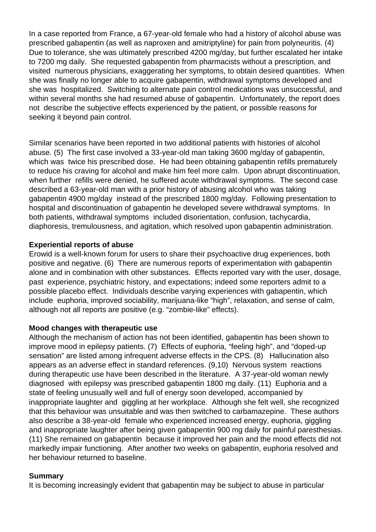In a case reported from France, a 67-year-old female who had a history of alcohol abuse was prescribed gabapentin (as well as naproxen and amitriptyline) for pain from polyneuritis. (4) Due to tolerance, she was ultimately prescribed 4200 mg/day, but further escalated her intake to 7200 mg daily. She requested gabapentin from pharmacists without a prescription, and visited numerous physicians, exaggerating her symptoms, to obtain desired quantities. When she was finally no longer able to acquire gabapentin, withdrawal symptoms developed and she was hospitalized. Switching to alternate pain control medications was unsuccessful, and within several months she had resumed abuse of gabapentin. Unfortunately, the report does not describe the subjective effects experienced by the patient, or possible reasons for seeking it beyond pain control.

Similar scenarios have been reported in two additional patients with histories of alcohol abuse. (5) The first case involved a 33-year-old man taking 3600 mg/day of gabapentin, which was twice his prescribed dose. He had been obtaining gabapentin refills prematurely to reduce his craving for alcohol and make him feel more calm. Upon abrupt discontinuation, when further refills were denied, he suffered acute withdrawal symptoms. The second case described a 63-year-old man with a prior history of abusing alcohol who was taking gabapentin 4900 mg/day instead of the prescribed 1800 mg/day. Following presentation to hospital and discontinuation of gabapentin he developed severe withdrawal symptoms. In both patients, withdrawal symptoms included disorientation, confusion, tachycardia, diaphoresis, tremulousness, and agitation, which resolved upon gabapentin administration.

#### **Experiential reports of abuse**

Erowid is a well-known forum for users to share their psychoactive drug experiences, both positive and negative. (6) There are numerous reports of experimentation with gabapentin alone and in combination with other substances. Effects reported vary with the user, dosage, past experience, psychiatric history, and expectations; indeed some reporters admit to a possible placebo effect. Individuals describe varying experiences with gabapentin, which include euphoria, improved sociability, marijuana-like "high", relaxation, and sense of calm, although not all reports are positive (e.g. "zombie-like" effects).

#### **Mood changes with therapeutic use**

Although the mechanism of action has not been identified, gabapentin has been shown to improve mood in epilepsy patients. (7) Effects of euphoria, "feeling high", and "doped-up sensation" are listed among infrequent adverse effects in the CPS. (8) Hallucination also appears as an adverse effect in standard references. (9,10) Nervous system reactions during therapeutic use have been described in the literature. A 37-year-old woman newly diagnosed with epilepsy was prescribed gabapentin 1800 mg daily. (11) Euphoria and a state of feeling unusually well and full of energy soon developed, accompanied by inappropriate laughter and giggling at her workplace. Although she felt well, she recognized that this behaviour was unsuitable and was then switched to carbamazepine. These authors also describe a 38-year-old female who experienced increased energy, euphoria, giggling and inappropriate laughter after being given gabapentin 900 mg daily for painful paresthesias. (11) She remained on gabapentin because it improved her pain and the mood effects did not markedly impair functioning. After another two weeks on gabapentin, euphoria resolved and her behaviour returned to baseline.

#### **Summary**

It is becoming increasingly evident that gabapentin may be subject to abuse in particular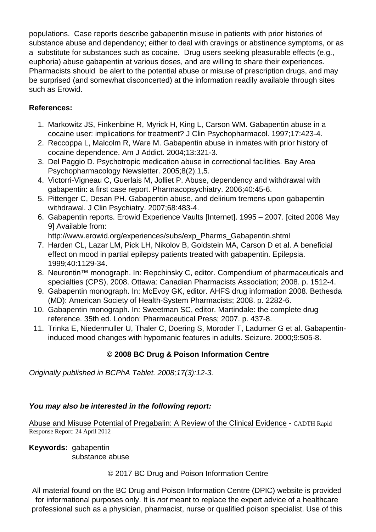populations. Case reports describe gabapentin misuse in patients with prior histories of substance abuse and dependency; either to deal with cravings or abstinence symptoms, or as a substitute for substances such as cocaine. Drug users seeking pleasurable effects (e.g., euphoria) abuse gabapentin at various doses, and are willing to share their experiences. Pharmacists should be alert to the potential abuse or misuse of prescription drugs, and may be surprised (and somewhat disconcerted) at the information readily available through sites such as Erowid.

## References:

- 1. Markowitz JS, Finkenbine R, Myrick H, King L, Carson WM. Gabapentin abuse in a cocaine user: implications for treatment? J Clin Psychopharmacol. 1997;17:423-4.
- 2. Reccoppa L, Malcolm R, Ware M. Gabapentin abuse in inmates with prior history of cocaine dependence. Am J Addict. 2004;13:321-3.
- 3. Del Paggio D. Psychotropic medication abuse in correctional facilities. Bay Area Psychopharmacology Newsletter. 2005;8(2):1,5.
- 4. Victorri-Vigneau C, Guerlais M, Jolliet P. Abuse, dependency and withdrawal with gabapentin: a first case report. Pharmacopsychiatry. 2006;40:45-6.
- 5. Pittenger C, Desan PH. Gabapentin abuse, and delirium tremens upon gabapentin withdrawal. J Clin Psychiatry. 2007;68:483-4.
- 6. Gabapentin reports. Erowid Experience Vaults [Internet]. 1995 2007. [cited 2008 May 9] Available from:

http://www.erowid.org/experiences/subs/exp\_Pharms\_Gabapentin.shtml

- 7. Harden CL, Lazar LM, Pick LH, Nikolov B, Goldstein MA, Carson D et al. A beneficial effect on mood in partial epilepsy patients treated with gabapentin. Epilepsia. 1999;40:1129-34.
- 8. Neurontin<sup>™</sup> monograph. In: Repchinsky C, editor. Compendium of pharmaceuticals and specialties (CPS), 2008. Ottawa: Canadian Pharmacists Association; 2008. p. 1512-4.
- 9. Gabapentin monograph. In: McEvoy GK, editor. AHFS drug information 2008. Bethesda (MD): American Society of Health-System Pharmacists; 2008. p. 2282-6.
- 10. Gabapentin monograph. In: Sweetman SC, editor. Martindale: the complete drug reference. 35th ed. London: Pharmaceutical Press; 2007. p. 437-8.
- 11. Trinka E, Niedermuller U, Thaler C, Doering S, Moroder T, Ladurner G et al. Gabapentininduced mood changes with hypomanic features in adults. Seizure. 2000;9:505-8.

© 2008 BC Drug & Poison Information Centre

Originally published in BCPhA Tablet. 2008;17(3):12-3.

You may also be interested in the following report:

Abuse and Misuse Potential of Pregabalin: A Review of the Clinical Evidence - CADTH Rapid Response Report: 24 April 2012

Keywords: gabapentin  [substance abuse](http://www.dpic.org/sites/default/files/PregabalinAbuse_CADTH_24Apr2012.pdf)

© 2017 BC Drug and Poison Information Centre

All material found on the BC Drug and Poison Information Centre (DPIC) website is provided for informational purposes only. It is not meant to replace the expert advice of a healthcare professional such as a physician, pharmacist, nurse or qualified poison specialist. Use of this